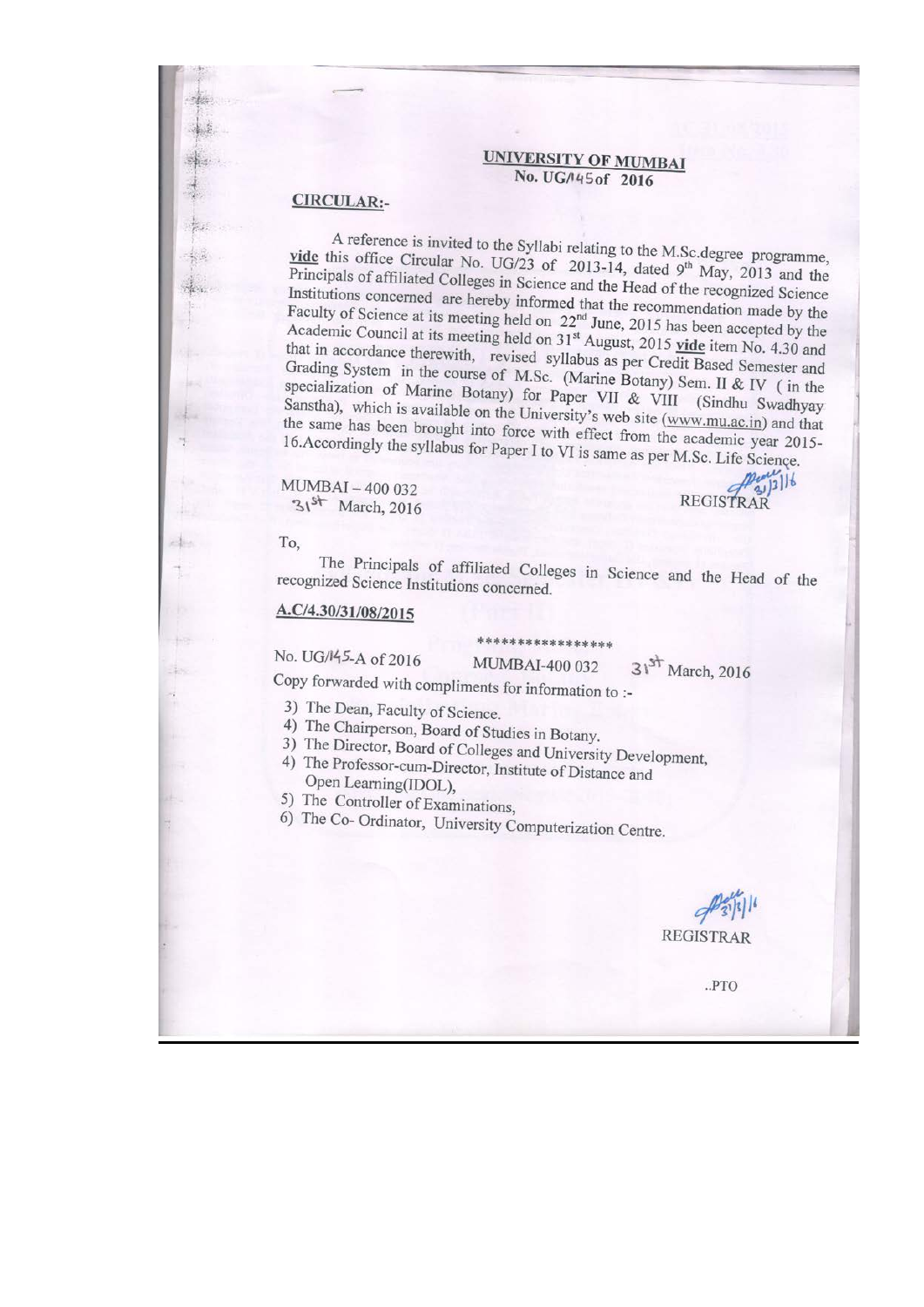### **UNIVERSITY OF MUMBAI** No. UG/145of 2016

### **CIRCULAR:-**

A reference is invited to the Syllabi relating to the M.Sc.degree programme, vide this office Circular No. UG/23 of 2013-14, dated  $9<sup>th</sup>$  May, 2013 and the Principals of affiliated Colleges in Science and the Head of the recognized Science Institutions concerned are hereby informed that the recommendation made by the Faculty of Science at its meeting held on 22<sup>nd</sup> June, 2015 has been accepted by the Academic Council at its meeting held on 31<sup>st</sup> August, 2015 vide item No. 4.30 and that in accordance therewith, revised syllabus as per Credit Based Semester and Grading System in the course of M.Sc. (Marine Botany) Sem. II & IV (in the specialization of Marine Botany) for Paper VII & VIII (Sindhu Swadhyay Sanstha), which is available on the University's web site (www.mu.ac.in) and that the same has been brought into force with effect from the academic year 2015-16. Accordingly the syllabus for Paper I to VI is same as per M.Sc. Life Science.

MUMBAI-400 032 31st March, 2016

**REGIS** 

To.

The Principals of affiliated Colleges in Science and the Head of the recognized Science Institutions concerned.

### A.C/4.30/31/08/2015

No. UG/l45-A of 2016

### 

 $31<sup>3+</sup>$  March, 2016 MUMBAI-400 032

Copy forwarded with compliments for information to :-

3) The Dean, Faculty of Science.

- 4) The Chairperson, Board of Studies in Botany.
- 3) The Director, Board of Colleges and University Development, 4) The Professor-cum-Director, Institute of Distance and
- Open Learning(IDOL),
- 5) The Controller of Examinations,
- 6) The Co-Ordinator, University Computerization Centre.

**REGISTRAR** 

 $.PTO$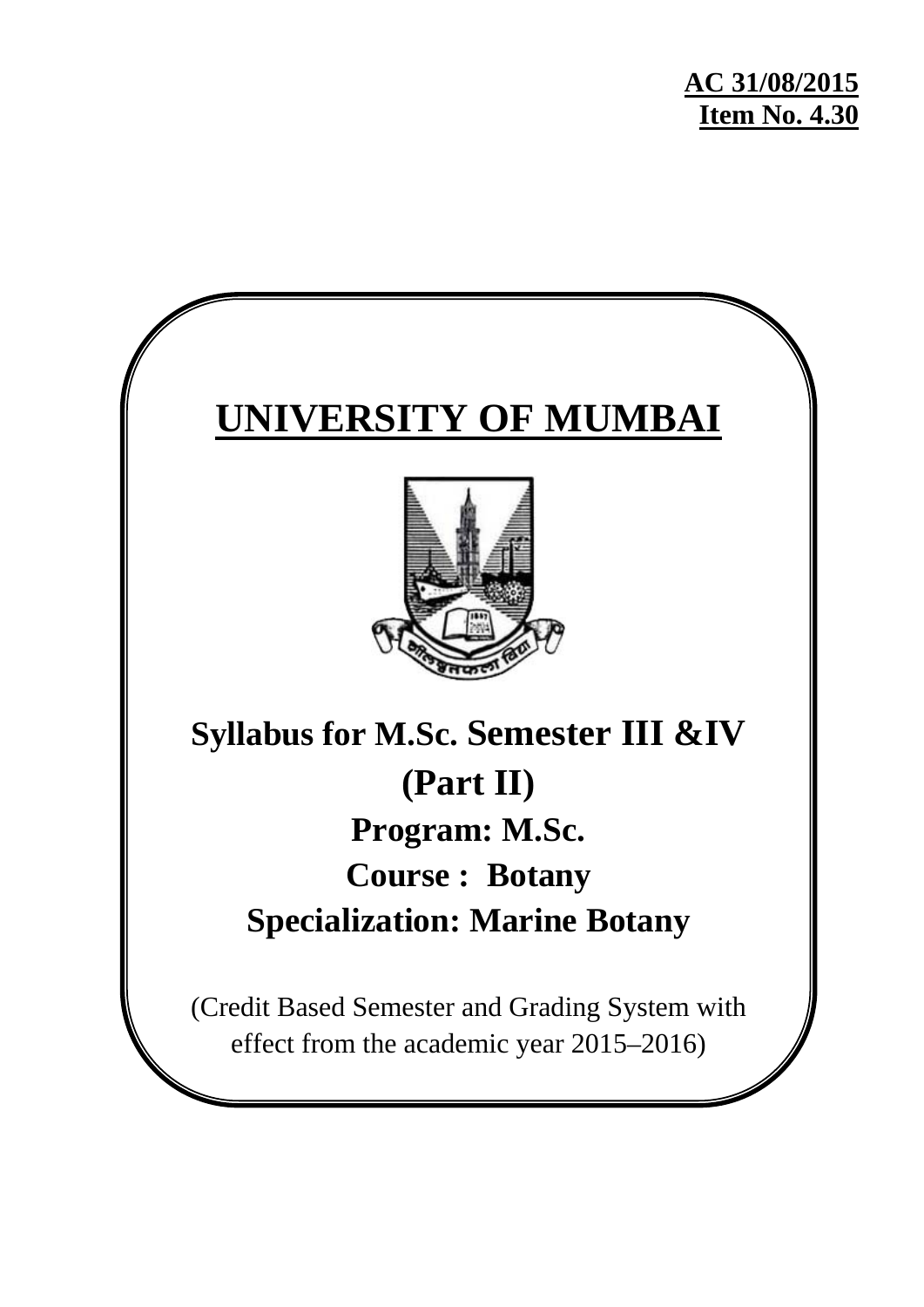

# **UNIVERSITY OF MUMBAI**



**Syllabus for M.Sc. Semester III &IV (Part II) Program: M.Sc. Course : Botany Specialization: Marine Botany**

(Credit Based Semester and Grading System with effect from the academic year 2015–2016)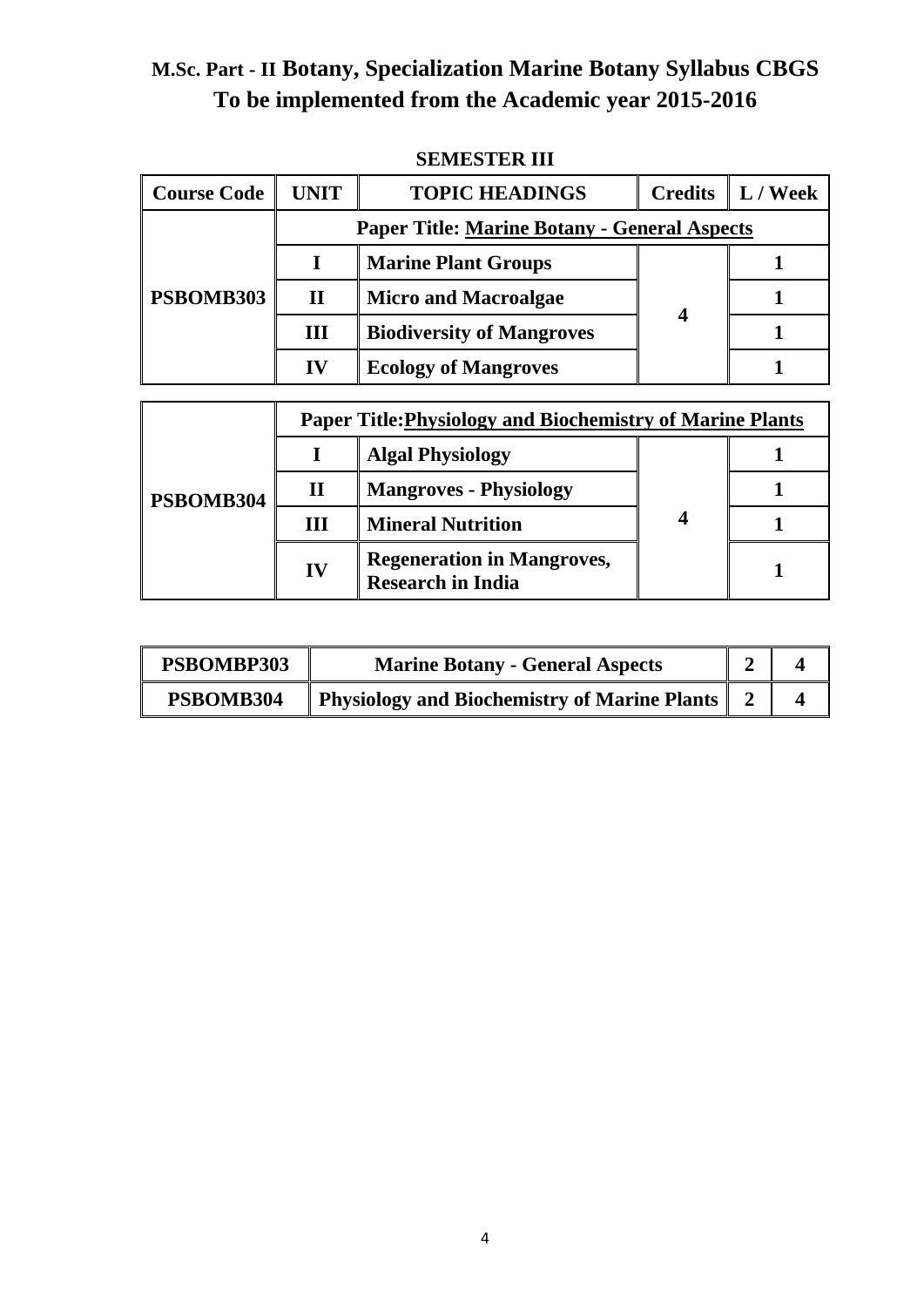| <b>Course Code</b> | <b>UNIT</b>  | <b>TOPIC HEADINGS</b>                                            | <b>Credits</b>   | L / Week |  |
|--------------------|--------------|------------------------------------------------------------------|------------------|----------|--|
|                    |              | <b>Paper Title: Marine Botany - General Aspects</b>              |                  |          |  |
| PSBOMB303          |              | <b>Marine Plant Groups</b>                                       |                  |          |  |
|                    | $\mathbf{I}$ | <b>Micro and Macroalgae</b>                                      |                  |          |  |
|                    | III          | <b>Biodiversity of Mangroves</b>                                 | $\boldsymbol{4}$ |          |  |
|                    | IV           | <b>Ecology of Mangroves</b>                                      |                  |          |  |
|                    |              |                                                                  |                  |          |  |
|                    |              | <b>Paper Title: Physiology and Biochemistry of Marine Plants</b> |                  |          |  |
| PSBOMB304          |              | <b>Algal Physiology</b>                                          |                  |          |  |
|                    | П            | <b>Mangroves - Physiology</b>                                    |                  |          |  |
|                    | III          | <b>Mineral Nutrition</b>                                         | 4                |          |  |
|                    | IV           | <b>Regeneration in Mangroves,</b><br><b>Research in India</b>    |                  |          |  |

### **SEMESTER III**

| PSBOMBP303 | <b>Marine Botany - General Aspects</b>                     |  |
|------------|------------------------------------------------------------|--|
| PSBOMB304  | Physiology and Biochemistry of Marine Plants $\parallel 2$ |  |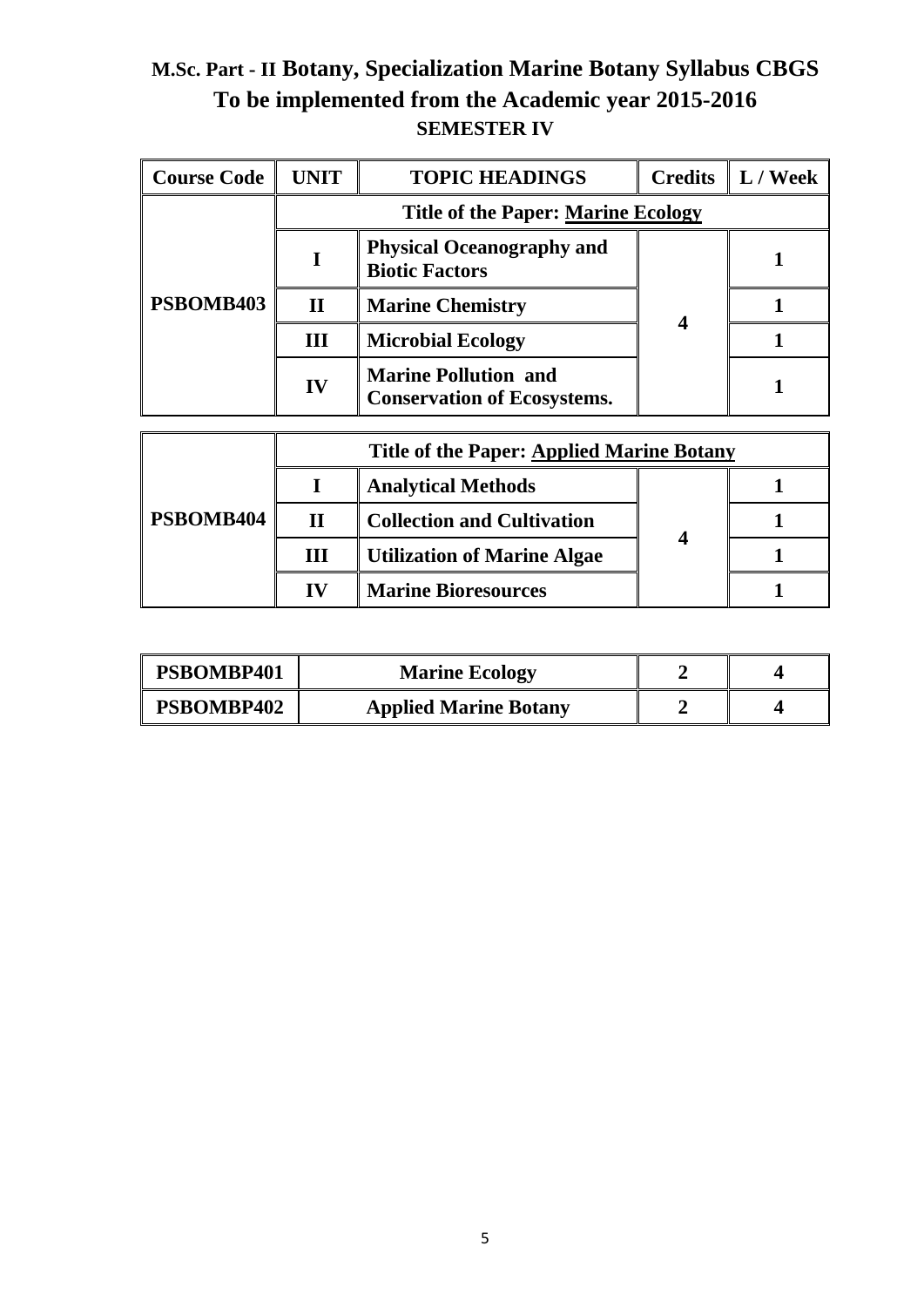| <b>Course Code</b> | <b>UNIT</b>  | <b>TOPIC HEADINGS</b>                                             | <b>Credits</b> | $L /$ Week |
|--------------------|--------------|-------------------------------------------------------------------|----------------|------------|
| PSBOMB403          |              | <b>Title of the Paper: Marine Ecology</b>                         |                |            |
|                    |              | <b>Physical Oceanography and</b><br><b>Biotic Factors</b>         |                |            |
|                    | $\mathbf{I}$ | <b>Marine Chemistry</b>                                           |                |            |
|                    | Ш            | <b>Microbial Ecology</b>                                          | 4              |            |
|                    | IV           | <b>Marine Pollution and</b><br><b>Conservation of Ecosystems.</b> |                |            |

|           | <b>Title of the Paper: Applied Marine Botany</b> |                                    |  |  |
|-----------|--------------------------------------------------|------------------------------------|--|--|
| PSBOMB404 |                                                  | <b>Analytical Methods</b>          |  |  |
|           | Н                                                | <b>Collection and Cultivation</b>  |  |  |
|           | Ш                                                | <b>Utilization of Marine Algae</b> |  |  |
|           | 1 V                                              | <b>Marine Bioresources</b>         |  |  |

| PSBOMBP401 | <b>Marine Ecology</b>        |  |
|------------|------------------------------|--|
| PSBOMBP402 | <b>Applied Marine Botany</b> |  |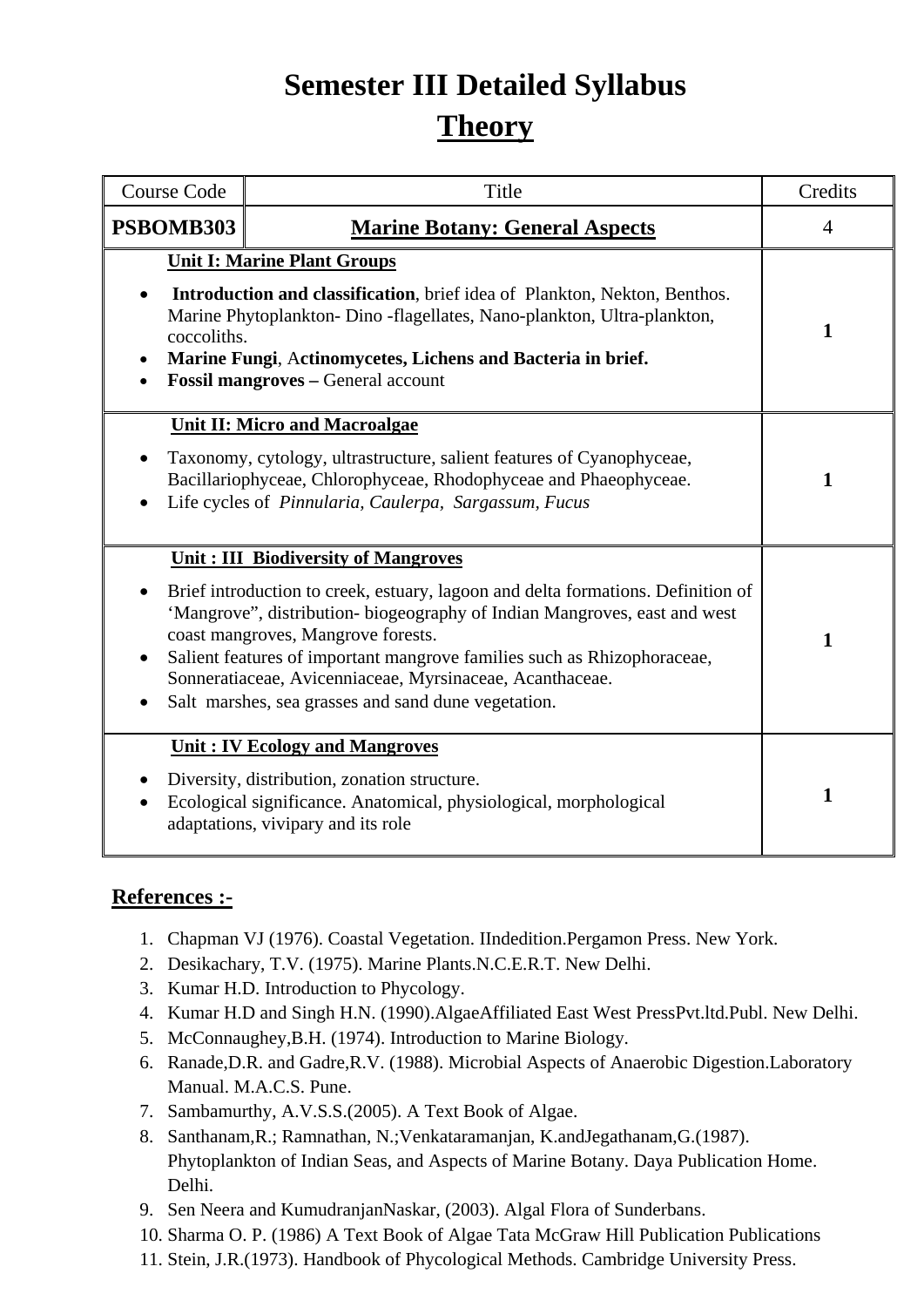# **Semester III Detailed Syllabus Theory**

| <b>Course Code</b>                                                                                                                                                                                                                                                                                             | Title                                                                                                                                                                                                                                                                                                                                                                                                                                           | Credits      |
|----------------------------------------------------------------------------------------------------------------------------------------------------------------------------------------------------------------------------------------------------------------------------------------------------------------|-------------------------------------------------------------------------------------------------------------------------------------------------------------------------------------------------------------------------------------------------------------------------------------------------------------------------------------------------------------------------------------------------------------------------------------------------|--------------|
| PSBOMB303                                                                                                                                                                                                                                                                                                      | <b>Marine Botany: General Aspects</b>                                                                                                                                                                                                                                                                                                                                                                                                           | 4            |
| <b>Unit I: Marine Plant Groups</b><br>Introduction and classification, brief idea of Plankton, Nekton, Benthos.<br>Marine Phytoplankton- Dino -flagellates, Nano-plankton, Ultra-plankton,<br>coccoliths.<br>Marine Fungi, Actinomycetes, Lichens and Bacteria in brief.<br>Fossil mangroves - General account | $\mathbf{1}$                                                                                                                                                                                                                                                                                                                                                                                                                                    |              |
|                                                                                                                                                                                                                                                                                                                | <b>Unit II: Micro and Macroalgae</b><br>Taxonomy, cytology, ultrastructure, salient features of Cyanophyceae,<br>Bacillariophyceae, Chlorophyceae, Rhodophyceae and Phaeophyceae.<br>Life cycles of Pinnularia, Caulerpa, Sargassum, Fucus                                                                                                                                                                                                      | 1            |
|                                                                                                                                                                                                                                                                                                                | <b>Unit: III Biodiversity of Mangroves</b><br>Brief introduction to creek, estuary, lagoon and delta formations. Definition of<br>'Mangrove", distribution- biogeography of Indian Mangroves, east and west<br>coast mangroves, Mangrove forests.<br>Salient features of important mangrove families such as Rhizophoraceae,<br>Sonneratiaceae, Avicenniaceae, Myrsinaceae, Acanthaceae.<br>Salt marshes, sea grasses and sand dune vegetation. | $\mathbf{1}$ |
| $\bullet$                                                                                                                                                                                                                                                                                                      | <b>Unit: IV Ecology and Mangroves</b><br>Diversity, distribution, zonation structure.<br>Ecological significance. Anatomical, physiological, morphological<br>adaptations, vivipary and its role                                                                                                                                                                                                                                                | 1            |

### **References :-**

- 1. Chapman VJ (1976). Coastal Vegetation. IIndedition.Pergamon Press. New York.
- 2. Desikachary, T.V. (1975). Marine Plants.N.C.E.R.T. New Delhi.
- 3. Kumar H.D. Introduction to Phycology.
- 4. Kumar H.D and Singh H.N. (1990).AlgaeAffiliated East West PressPvt.ltd.Publ. New Delhi.
- 5. McConnaughey,B.H. (1974). Introduction to Marine Biology.
- 6. Ranade,D.R. and Gadre,R.V. (1988). Microbial Aspects of Anaerobic Digestion.Laboratory Manual. M.A.C.S. Pune.
- 7. Sambamurthy, A.V.S.S.(2005). A Text Book of Algae.
- 8. Santhanam,R.; Ramnathan, N.;Venkataramanjan, K.andJegathanam,G.(1987). Phytoplankton of Indian Seas, and Aspects of Marine Botany. Daya Publication Home. Delhi.
- 9. Sen Neera and KumudranjanNaskar, (2003). Algal Flora of Sunderbans.
- 10. Sharma O. P. (1986) A Text Book of Algae Tata McGraw Hill Publication Publications
- 11. Stein, J.R.(1973). Handbook of Phycological Methods. Cambridge University Press.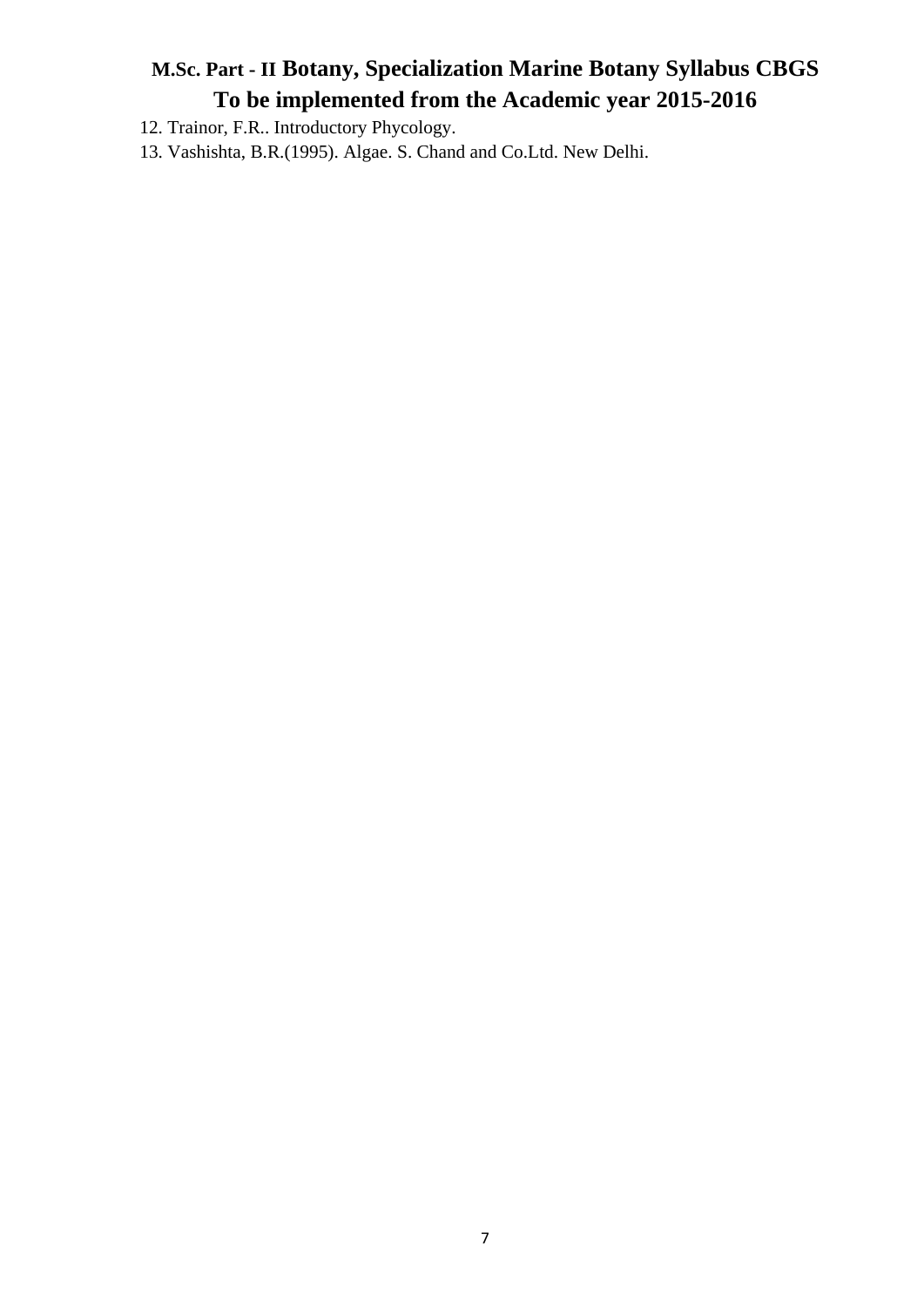- 12. Trainor, F.R.. Introductory Phycology.
- 13. Vashishta, B.R.(1995). Algae. S. Chand and Co.Ltd. New Delhi.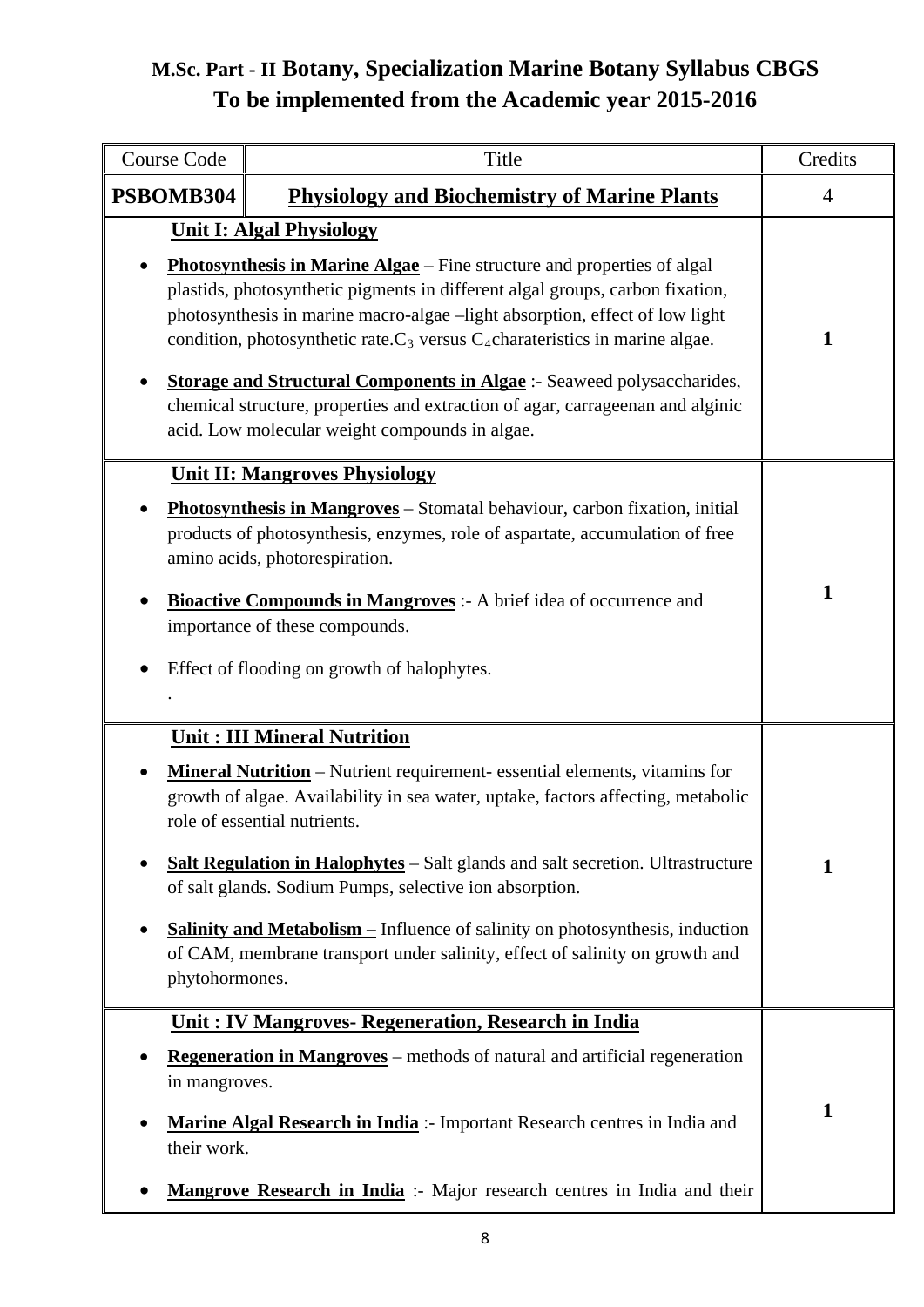| <b>Course Code</b>           | Title                                                                                                                                                                                                                                                                                                                                                                                                                                                                                                                                                                                 | Credits        |
|------------------------------|---------------------------------------------------------------------------------------------------------------------------------------------------------------------------------------------------------------------------------------------------------------------------------------------------------------------------------------------------------------------------------------------------------------------------------------------------------------------------------------------------------------------------------------------------------------------------------------|----------------|
| PSBOMB304                    | <b>Physiology and Biochemistry of Marine Plants</b>                                                                                                                                                                                                                                                                                                                                                                                                                                                                                                                                   | $\overline{4}$ |
|                              | <b>Unit I: Algal Physiology</b><br>Photosynthesis in Marine Algae - Fine structure and properties of algal<br>plastids, photosynthetic pigments in different algal groups, carbon fixation,<br>photosynthesis in marine macro-algae -light absorption, effect of low light<br>condition, photosynthetic rate. $C_3$ versus $C_4$ charateristics in marine algae.<br><b>Storage and Structural Components in Algae:</b> - Seaweed polysaccharides,<br>chemical structure, properties and extraction of agar, carrageenan and alginic<br>acid. Low molecular weight compounds in algae. | 1              |
|                              | <b>Unit II: Mangroves Physiology</b><br><b>Photosynthesis in Mangroves</b> – Stomatal behaviour, carbon fixation, initial<br>products of photosynthesis, enzymes, role of aspartate, accumulation of free<br>amino acids, photorespiration.<br><b>Bioactive Compounds in Mangroves</b> :- A brief idea of occurrence and<br>importance of these compounds.<br>Effect of flooding on growth of halophytes.                                                                                                                                                                             | $\mathbf{1}$   |
| phytohormones.               | <b>Unit: III Mineral Nutrition</b><br><b>Mineral Nutrition</b> – Nutrient requirement-essential elements, vitamins for<br>growth of algae. Availability in sea water, uptake, factors affecting, metabolic<br>role of essential nutrients.<br><b>Salt Regulation in Halophytes</b> – Salt glands and salt secretion. Ultrastructure<br>of salt glands. Sodium Pumps, selective ion absorption.<br><b><u>Salinity and Metabolism –</u></b> Influence of salinity on photosynthesis, induction<br>of CAM, membrane transport under salinity, effect of salinity on growth and           | 1              |
| in mangroves.<br>their work. | <b>Unit: IV Mangroves- Regeneration, Research in India</b><br><b>Regeneration in Mangroves</b> – methods of natural and artificial regeneration<br><b>Marine Algal Research in India:</b> - Important Research centres in India and<br>Mangrove Research in India :- Major research centres in India and their                                                                                                                                                                                                                                                                        | 1              |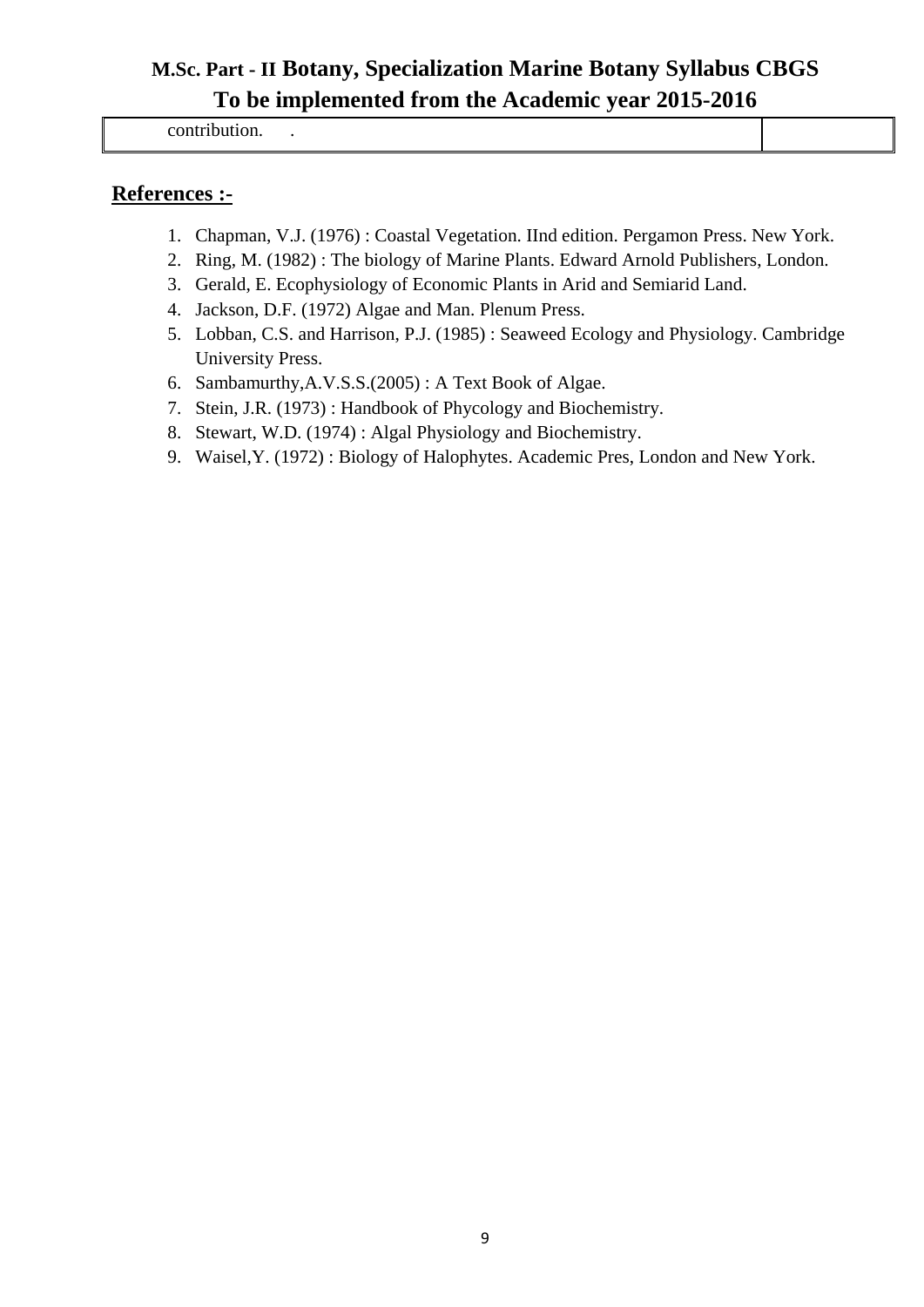contribution. .

### **References :-**

- 1. Chapman, V.J. (1976) : Coastal Vegetation. IInd edition. Pergamon Press. New York.
- 2. Ring, M. (1982) : The biology of Marine Plants. Edward Arnold Publishers, London.
- 3. Gerald, E. Ecophysiology of Economic Plants in Arid and Semiarid Land.
- 4. Jackson, D.F. (1972) Algae and Man. Plenum Press.
- 5. Lobban, C.S. and Harrison, P.J. (1985) : Seaweed Ecology and Physiology. Cambridge University Press.
- 6. Sambamurthy,A.V.S.S.(2005) : A Text Book of Algae.
- 7. Stein, J.R. (1973) : Handbook of Phycology and Biochemistry.
- 8. Stewart, W.D. (1974) : Algal Physiology and Biochemistry.
- 9. Waisel,Y. (1972) : Biology of Halophytes. Academic Pres, London and New York.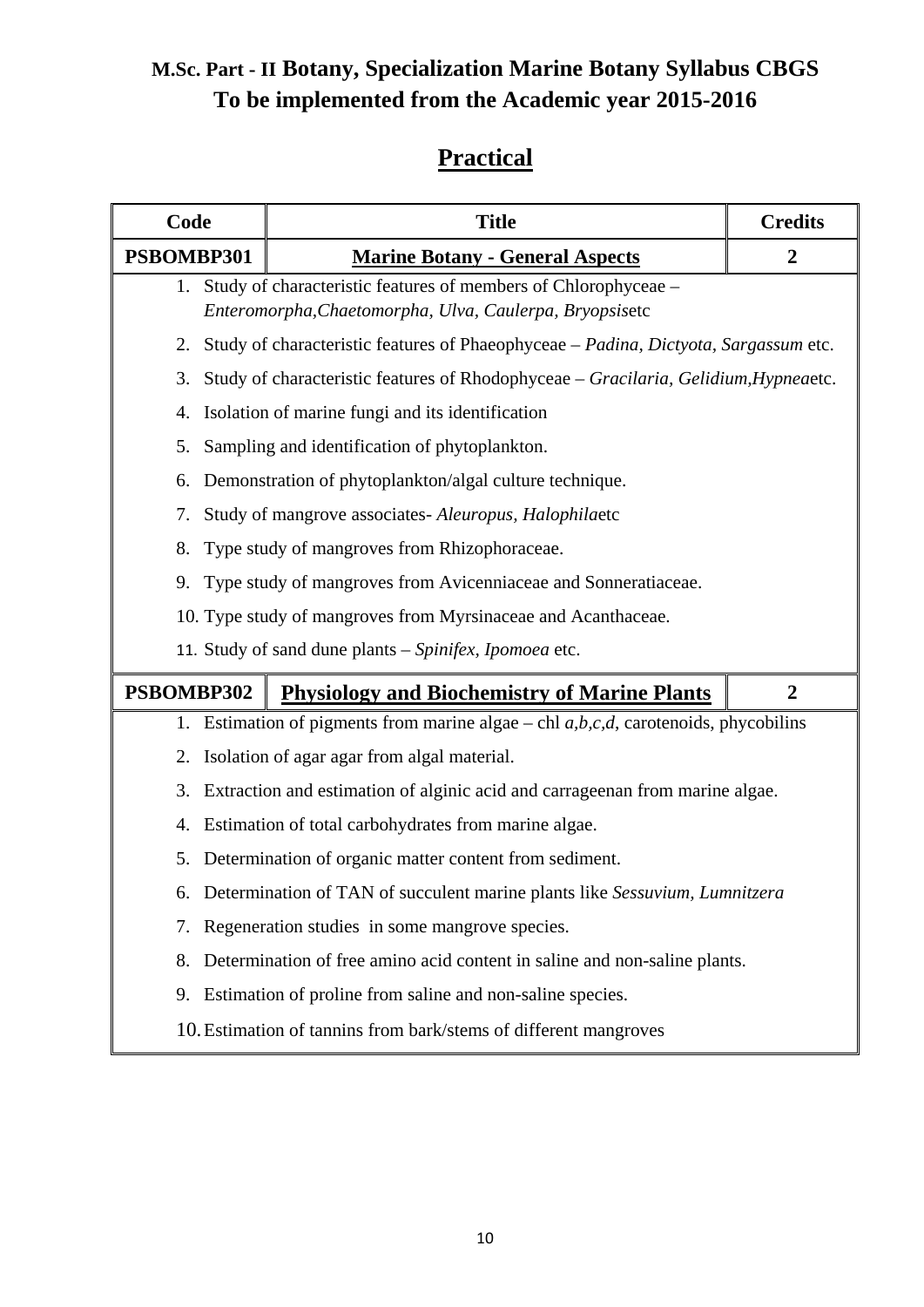# **Practical**

| Code                                                                            | <b>Title</b>                                                                                                              | <b>Credits</b> |  |  |
|---------------------------------------------------------------------------------|---------------------------------------------------------------------------------------------------------------------------|----------------|--|--|
| PSBOMBP301                                                                      | <b>Marine Botany - General Aspects</b>                                                                                    | $\overline{2}$ |  |  |
| 1.                                                                              | Study of characteristic features of members of Chlorophyceae -<br>Enteromorpha, Chaetomorpha, Ulva, Caulerpa, Bryopsisetc |                |  |  |
| 2.                                                                              | Study of characteristic features of Phaeophyceae – Padina, Dictyota, Sargassum etc.                                       |                |  |  |
| 3.                                                                              | Study of characteristic features of Rhodophyceae - Gracilaria, Gelidium, Hypneaetc.                                       |                |  |  |
| 4.                                                                              | Isolation of marine fungi and its identification                                                                          |                |  |  |
| 5.                                                                              | Sampling and identification of phytoplankton.                                                                             |                |  |  |
| 6.                                                                              | Demonstration of phytoplankton/algal culture technique.                                                                   |                |  |  |
| 7.                                                                              | Study of mangrove associates-Aleuropus, Halophilaetc                                                                      |                |  |  |
| 8.                                                                              | Type study of mangroves from Rhizophoraceae.                                                                              |                |  |  |
| 9.                                                                              | Type study of mangroves from Avicenniaceae and Sonneratiaceae.                                                            |                |  |  |
|                                                                                 | 10. Type study of mangroves from Myrsinaceae and Acanthaceae.                                                             |                |  |  |
|                                                                                 | 11. Study of sand dune plants - Spinifex, Ipomoea etc.                                                                    |                |  |  |
| PSBOMBP302                                                                      | <b>Physiology and Biochemistry of Marine Plants</b>                                                                       | $\overline{2}$ |  |  |
|                                                                                 | 1. Estimation of pigments from marine algae – chl $a,b,c,d$ , carotenoids, phycobilins                                    |                |  |  |
| 2.                                                                              | Isolation of agar agar from algal material.                                                                               |                |  |  |
| 3.                                                                              | Extraction and estimation of alginic acid and carrageenan from marine algae.                                              |                |  |  |
| 4.                                                                              | Estimation of total carbohydrates from marine algae.                                                                      |                |  |  |
| 5.                                                                              | Determination of organic matter content from sediment.                                                                    |                |  |  |
|                                                                                 | 6. Determination of TAN of succulent marine plants like Sessuvium, Lumnitzera                                             |                |  |  |
| Regeneration studies in some mangrove species.<br>7.                            |                                                                                                                           |                |  |  |
| Determination of free amino acid content in saline and non-saline plants.<br>8. |                                                                                                                           |                |  |  |
| 9.                                                                              | Estimation of proline from saline and non-saline species.                                                                 |                |  |  |
|                                                                                 | 10. Estimation of tannins from bark/stems of different mangroves                                                          |                |  |  |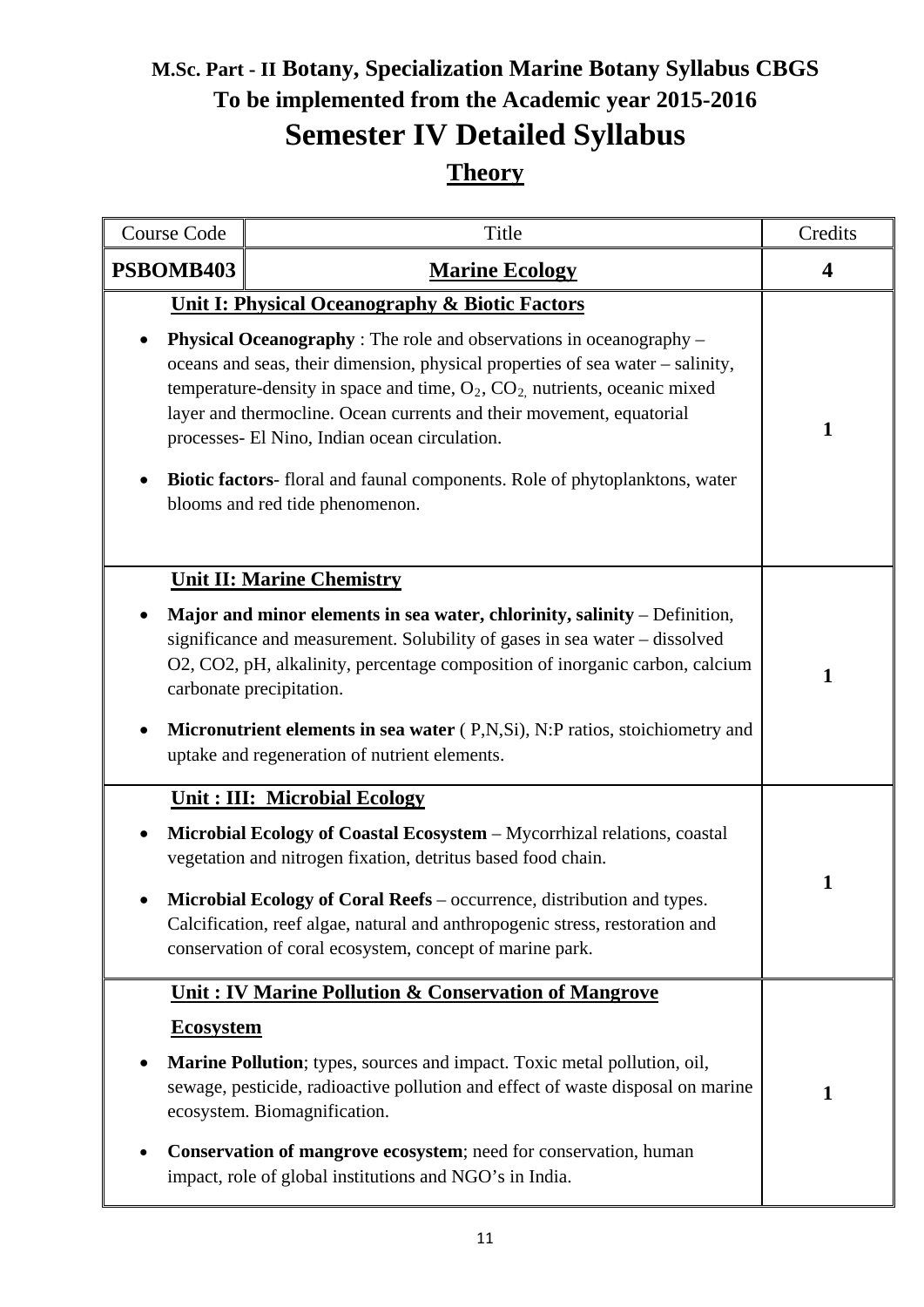# **M.Sc. Part - II Botany, Specialization Marine Botany Syllabus CBGS To be implemented from the Academic year 2015-2016 Semester IV Detailed Syllabus Theory**

| Course Code           | Title                                                                                                                                                                                                                                                                                                                                                                                                                                                                                                                                                         | Credits      |
|-----------------------|---------------------------------------------------------------------------------------------------------------------------------------------------------------------------------------------------------------------------------------------------------------------------------------------------------------------------------------------------------------------------------------------------------------------------------------------------------------------------------------------------------------------------------------------------------------|--------------|
| PSBOMB403             | <b>Marine Ecology</b>                                                                                                                                                                                                                                                                                                                                                                                                                                                                                                                                         | 4            |
|                       | <b>Unit I: Physical Oceanography &amp; Biotic Factors</b><br><b>Physical Oceanography</b> : The role and observations in oceanography –<br>oceans and seas, their dimension, physical properties of sea water - salinity,<br>temperature-density in space and time, $O_2$ , $CO_2$ nutrients, oceanic mixed<br>layer and thermocline. Ocean currents and their movement, equatorial<br>processes- El Nino, Indian ocean circulation.<br><b>Biotic factors-</b> floral and faunal components. Role of phytoplanktons, water<br>blooms and red tide phenomenon. | $\mathbf{1}$ |
|                       | <b>Unit II: Marine Chemistry</b><br>Major and minor elements in sea water, chlorinity, salinity – Definition,<br>significance and measurement. Solubility of gases in sea water - dissolved<br>O2, CO2, pH, alkalinity, percentage composition of inorganic carbon, calcium<br>carbonate precipitation.<br>Micronutrient elements in sea water (P,N,Si), N:P ratios, stoichiometry and<br>uptake and regeneration of nutrient elements.                                                                                                                       | 1            |
|                       | <b>Unit: III: Microbial Ecology</b><br>Microbial Ecology of Coastal Ecosystem - Mycorrhizal relations, coastal<br>vegetation and nitrogen fixation, detritus based food chain.<br><b>Microbial Ecology of Coral Reefs</b> – occurrence, distribution and types.<br>Calcification, reef algae, natural and anthropogenic stress, restoration and<br>conservation of coral ecosystem, concept of marine park.                                                                                                                                                   | 1            |
| <b>Ecosystem</b><br>٠ | <b>Unit: IV Marine Pollution &amp; Conservation of Mangrove</b><br><b>Marine Pollution</b> ; types, sources and impact. Toxic metal pollution, oil,<br>sewage, pesticide, radioactive pollution and effect of waste disposal on marine<br>ecosystem. Biomagnification.<br>Conservation of mangrove ecosystem; need for conservation, human<br>impact, role of global institutions and NGO's in India.                                                                                                                                                         | 1            |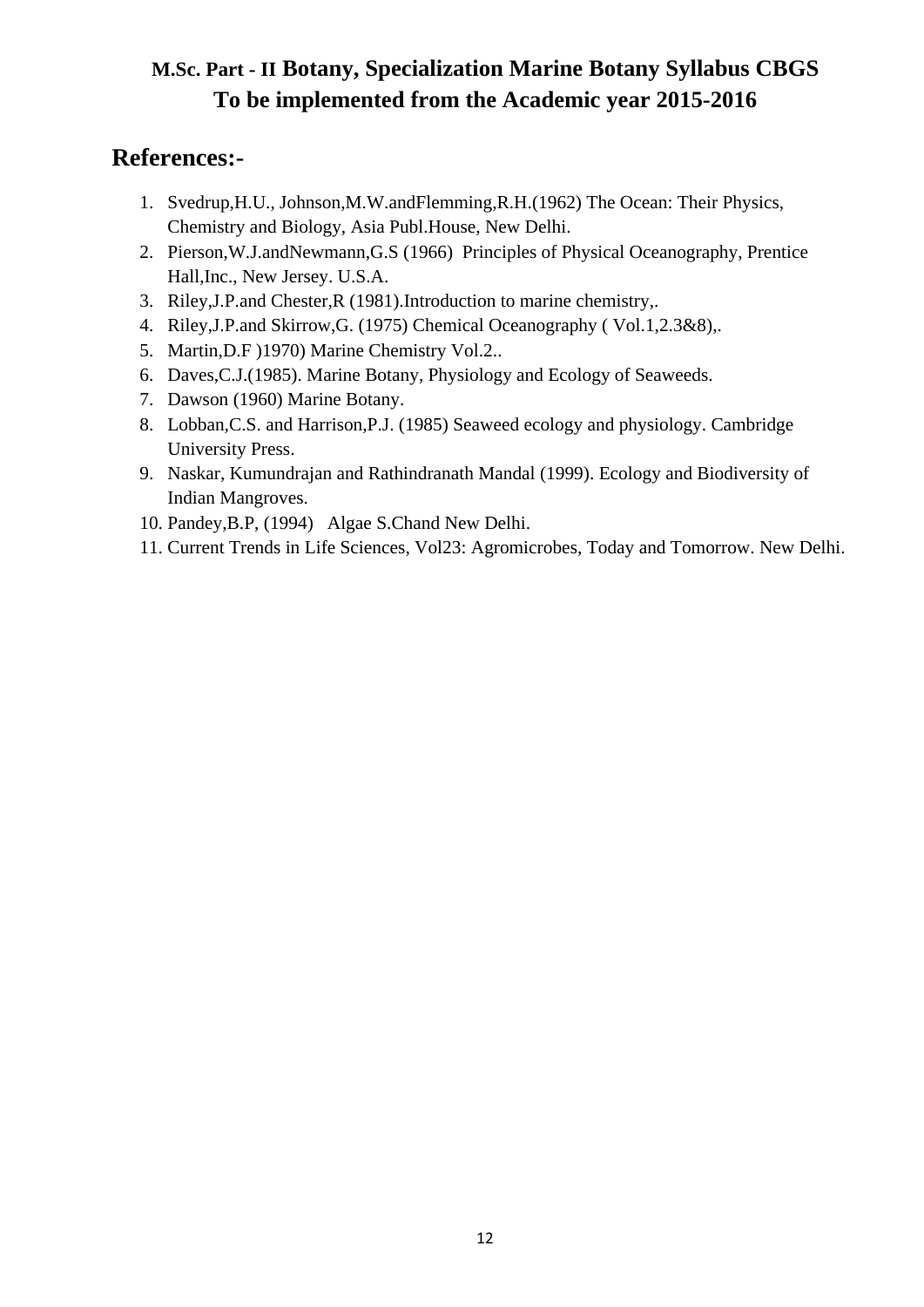### **References:-**

- 1. Svedrup,H.U., Johnson,M.W.andFlemming,R.H.(1962) The Ocean: Their Physics, Chemistry and Biology, Asia Publ.House, New Delhi.
- 2. Pierson,W.J.andNewmann,G.S (1966) Principles of Physical Oceanography, Prentice Hall,Inc., New Jersey. U.S.A.
- 3. Riley,J.P.and Chester,R (1981).Introduction to marine chemistry,.
- 4. Riley,J.P.and Skirrow,G. (1975) Chemical Oceanography ( Vol.1,2.3&8),.
- 5. Martin,D.F )1970) Marine Chemistry Vol.2..
- 6. Daves,C.J.(1985). Marine Botany, Physiology and Ecology of Seaweeds.
- 7. Dawson (1960) Marine Botany.
- 8. Lobban,C.S. and Harrison,P.J. (1985) Seaweed ecology and physiology. Cambridge University Press.
- 9. Naskar, Kumundrajan and Rathindranath Mandal (1999). Ecology and Biodiversity of Indian Mangroves.
- 10. Pandey,B.P, (1994) Algae S.Chand New Delhi.
- 11. Current Trends in Life Sciences, Vol23: Agromicrobes, Today and Tomorrow. New Delhi.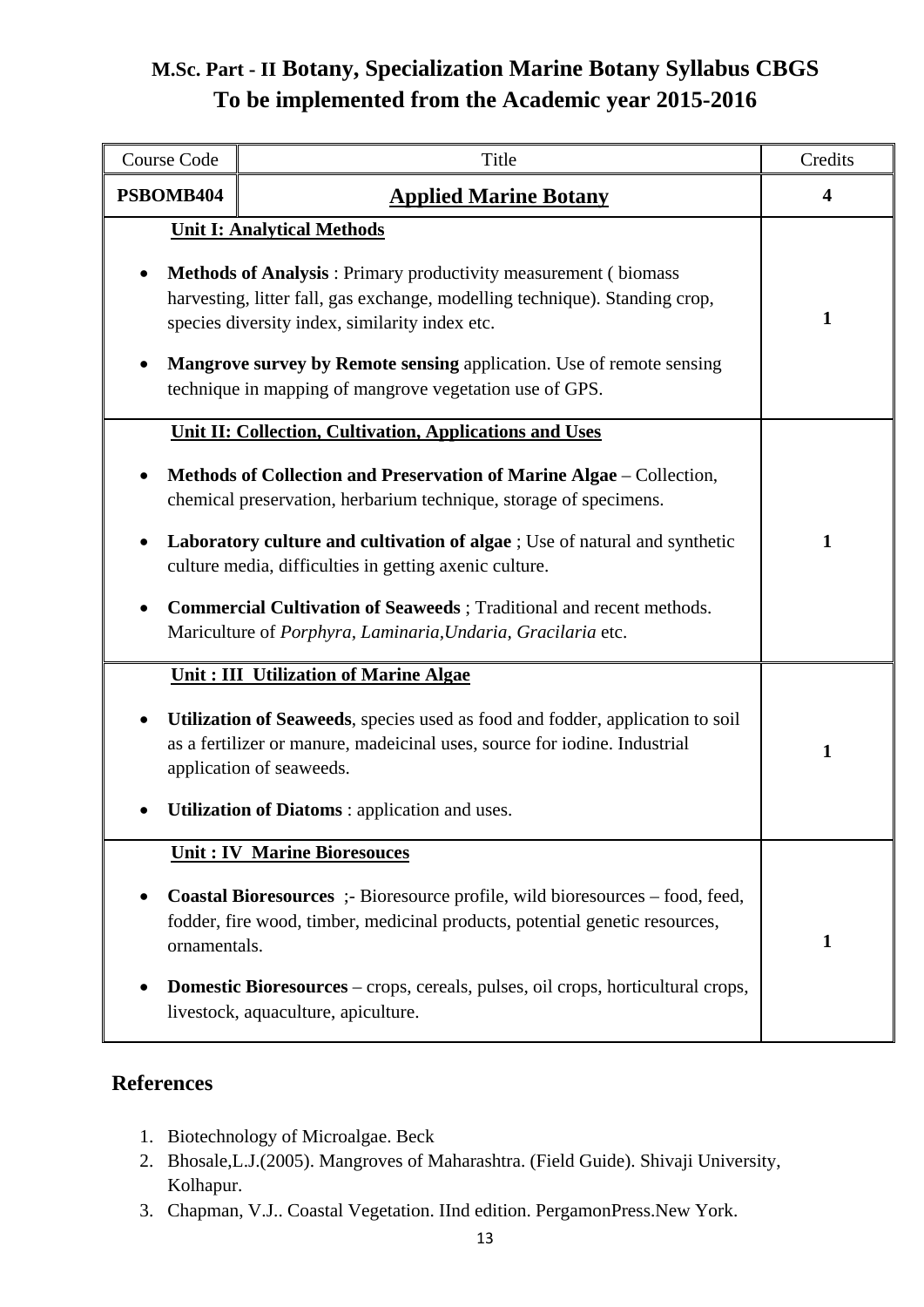| <b>Course Code</b> | Title                                                                                                                                                                                                                                                                                                                                                                                                                                                                                      | Credits      |
|--------------------|--------------------------------------------------------------------------------------------------------------------------------------------------------------------------------------------------------------------------------------------------------------------------------------------------------------------------------------------------------------------------------------------------------------------------------------------------------------------------------------------|--------------|
| PSBOMB404          | <b>Applied Marine Botany</b>                                                                                                                                                                                                                                                                                                                                                                                                                                                               | 4            |
|                    | <b>Unit I: Analytical Methods</b><br><b>Methods of Analysis:</b> Primary productivity measurement (biomass)<br>harvesting, litter fall, gas exchange, modelling technique). Standing crop,<br>species diversity index, similarity index etc.<br><b>Mangrove survey by Remote sensing application.</b> Use of remote sensing<br>technique in mapping of mangrove vegetation use of GPS.                                                                                                     | 1            |
|                    | <b>Unit II: Collection, Cultivation, Applications and Uses</b><br>Methods of Collection and Preservation of Marine Algae – Collection,<br>chemical preservation, herbarium technique, storage of specimens.<br>Laboratory culture and cultivation of algae ; Use of natural and synthetic<br>culture media, difficulties in getting axenic culture.<br>Commercial Cultivation of Seaweeds; Traditional and recent methods.<br>Mariculture of Porphyra, Laminaria, Undaria, Gracilaria etc. | 1            |
|                    | <b>Unit: III Utilization of Marine Algae</b><br>Utilization of Seaweeds, species used as food and fodder, application to soil<br>as a fertilizer or manure, madeicinal uses, source for iodine. Industrial<br>application of seaweeds.<br>Utilization of Diatoms : application and uses.                                                                                                                                                                                                   | 1            |
| ornamentals.       | <b>Unit: IV Marine Bioresouces</b><br><b>Coastal Bioresources</b> :- Bioresource profile, wild bioresources – food, feed,<br>fodder, fire wood, timber, medicinal products, potential genetic resources,<br><b>Domestic Bioresources</b> – crops, cereals, pulses, oil crops, horticultural crops,<br>livestock, aquaculture, apiculture.                                                                                                                                                  | $\mathbf{1}$ |

### **References**

- 1. Biotechnology of Microalgae. Beck
- 2. Bhosale,L.J.(2005). Mangroves of Maharashtra. (Field Guide). Shivaji University, Kolhapur.
- 3. Chapman, V.J.. Coastal Vegetation. IInd edition. PergamonPress.New York.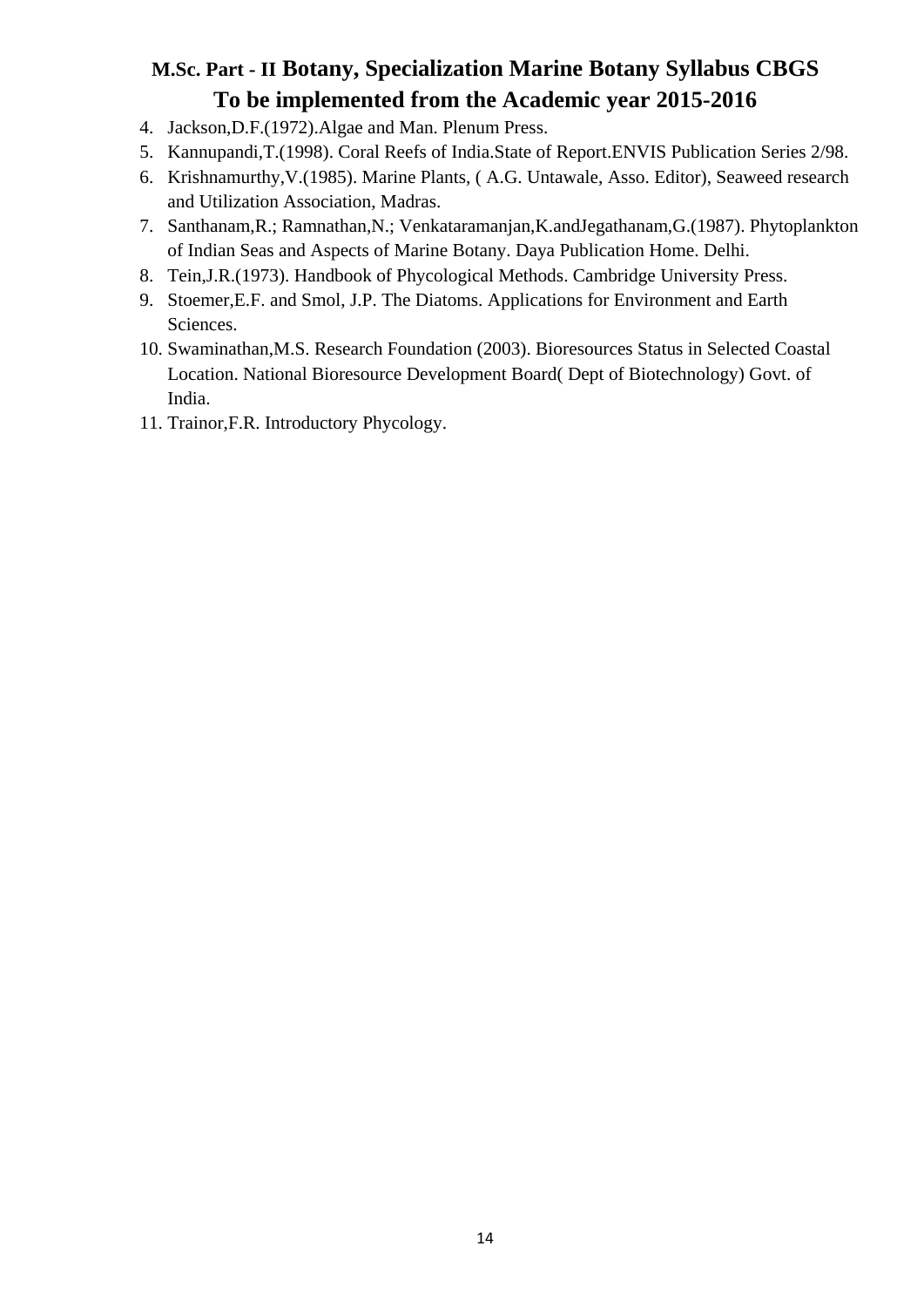- 4. Jackson,D.F.(1972).Algae and Man. Plenum Press.
- 5. Kannupandi,T.(1998). Coral Reefs of India.State of Report.ENVIS Publication Series 2/98.
- 6. Krishnamurthy,V.(1985). Marine Plants, ( A.G. Untawale, Asso. Editor), Seaweed research and Utilization Association, Madras.
- 7. Santhanam,R.; Ramnathan,N.; Venkataramanjan,K.andJegathanam,G.(1987). Phytoplankton of Indian Seas and Aspects of Marine Botany. Daya Publication Home. Delhi.
- 8. Tein,J.R.(1973). Handbook of Phycological Methods. Cambridge University Press.
- 9. Stoemer,E.F. and Smol, J.P. The Diatoms. Applications for Environment and Earth Sciences.
- 10. Swaminathan,M.S. Research Foundation (2003). Bioresources Status in Selected Coastal Location. National Bioresource Development Board( Dept of Biotechnology) Govt. of India.
- 11. Trainor,F.R. Introductory Phycology.